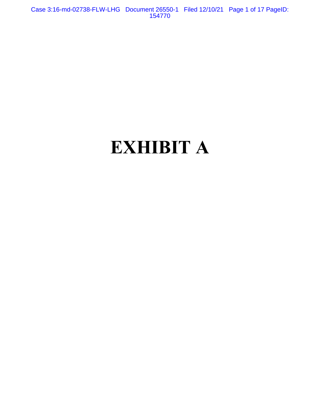Case 3:16-md-02738-FLW-LHG Document 26550-1 Filed 12/10/21 Page 1 of 17 PageID: 154770

# **EXHIBIT A**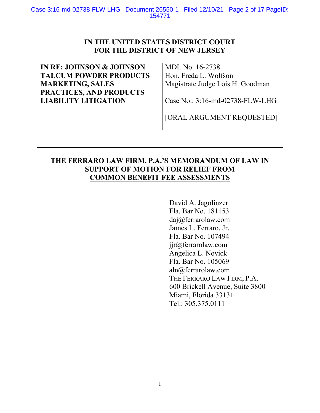## **IN THE UNITED STATES DISTRICT COURT FOR THE DISTRICT OF NEW JERSEY**

# **IN RE: JOHNSON & JOHNSON TALCUM POWDER PRODUCTS MARKETING, SALES PRACTICES, AND PRODUCTS LIABILITY LITIGATION**

MDL No. 16-2738 Hon. Freda L. Wolfson Magistrate Judge Lois H. Goodman

Case No.: 3:16-md-02738-FLW-LHG

[ORAL ARGUMENT REQUESTED]

## **THE FERRARO LAW FIRM, P.A.'S MEMORANDUM OF LAW IN SUPPORT OF MOTION FOR RELIEF FROM COMMON BENEFIT FEE ASSESSMENTS**

David A. Jagolinzer Fla. Bar No. 181153 daj@ferrarolaw.com James L. Ferraro, Jr. Fla. Bar No. 107494 jjr@ferrarolaw.com Angelica L. Novick Fla. Bar No. 105069 aln@ferrarolaw.com THE FERRARO LAW FIRM, P.A. 600 Brickell Avenue, Suite 3800 Miami, Florida 33131 Tel.: 305.375.0111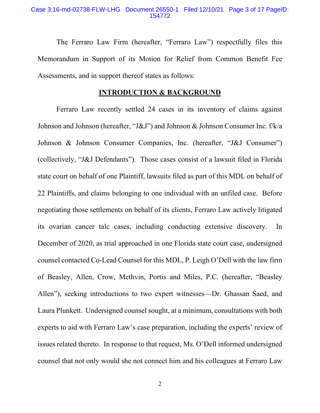#### Case 3:16-md-02738-FLW-LHG Document 26550-1 Filed 12/10/21 Page 3 of 17 PageID: 154772

The Ferraro Law Firm (hereafter, "Ferraro Law") respectfully files this Memorandum in Support of its Motion for Relief from Common Benefit Fee Assessments, and in support thereof states as follows:

## **INTRODUCTION & BACKGROUND**

Ferraro Law recently settled 24 cases in its inventory of claims against Johnson and Johnson (hereafter, "J&J") and Johnson & Johnson Consumer Inc. f/k/a Johnson & Johnson Consumer Companies, Inc. (hereafter, "J&J Consumer") (collectively, "J&J Defendants"). Those cases consist of a lawsuit filed in Florida state court on behalf of one Plaintiff, lawsuits filed as part of this MDL on behalf of 22 Plaintiffs, and claims belonging to one individual with an unfiled case. Before negotiating those settlements on behalf of its clients, Ferraro Law actively litigated its ovarian cancer talc cases, including conducting extensive discovery. In December of 2020, as trial approached in one Florida state court case, undersigned counsel contacted Co-Lead Counsel for this MDL, P. Leigh O'Dell with the law firm of Beasley, Allen, Crow, Methvin, Portis and Miles, P.C. (hereafter, "Beasley Allen"), seeking introductions to two expert witnesses—Dr. Ghassan Saed, and Laura Plunkett. Undersigned counsel sought, at a minimum, consultations with both experts to aid with Ferraro Law's case preparation, including the experts' review of issues related thereto. In response to that request, Ms. O'Dell informed undersigned counsel that not only would she not connect him and his colleagues at Ferraro Law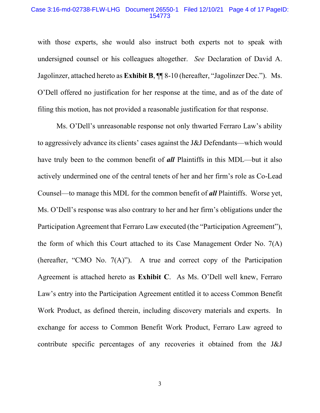### Case 3:16-md-02738-FLW-LHG Document 26550-1 Filed 12/10/21 Page 4 of 17 PageID: 154773

with those experts, she would also instruct both experts not to speak with undersigned counsel or his colleagues altogether. *See* Declaration of David A. Jagolinzer, attached hereto as **Exhibit B**, ¶¶ 8-10 (hereafter, "Jagolinzer Dec."). Ms. O'Dell offered no justification for her response at the time, and as of the date of filing this motion, has not provided a reasonable justification for that response.

Ms. O'Dell's unreasonable response not only thwarted Ferraro Law's ability to aggressively advance its clients' cases against the J&J Defendants—which would have truly been to the common benefit of *all* Plaintiffs in this MDL—but it also actively undermined one of the central tenets of her and her firm's role as Co-Lead Counsel—to manage this MDL for the common benefit of *all* Plaintiffs. Worse yet, Ms. O'Dell's response was also contrary to her and her firm's obligations under the Participation Agreement that Ferraro Law executed (the "Participation Agreement"), the form of which this Court attached to its Case Management Order No. 7(A) (hereafter, "CMO No. 7(A)"). A true and correct copy of the Participation Agreement is attached hereto as **Exhibit C**. As Ms. O'Dell well knew, Ferraro Law's entry into the Participation Agreement entitled it to access Common Benefit Work Product, as defined therein, including discovery materials and experts. In exchange for access to Common Benefit Work Product, Ferraro Law agreed to contribute specific percentages of any recoveries it obtained from the J&J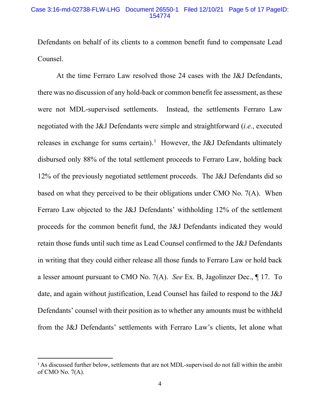#### Case 3:16-md-02738-FLW-LHG Document 26550-1 Filed 12/10/21 Page 5 of 17 PageID: 154774

Defendants on behalf of its clients to a common benefit fund to compensate Lead Counsel.

At the time Ferraro Law resolved those 24 cases with the J&J Defendants, there was no discussion of any hold-back or common benefit fee assessment, as these were not MDL-supervised settlements. Instead, the settlements Ferraro Law negotiated with the J&J Defendants were simple and straightforward (*i.e.*, executed releases in exchange for sums certain).<sup>1</sup> However, the J&J Defendants ultimately disbursed only 88% of the total settlement proceeds to Ferraro Law, holding back 12% of the previously negotiated settlement proceeds. The J&J Defendants did so based on what they perceived to be their obligations under CMO No. 7(A). When Ferraro Law objected to the J&J Defendants' withholding 12% of the settlement proceeds for the common benefit fund, the J&J Defendants indicated they would retain those funds until such time as Lead Counsel confirmed to the J&J Defendants in writing that they could either release all those funds to Ferraro Law or hold back a lesser amount pursuant to CMO No. 7(A). *See* Ex. B, Jagolinzer Dec., ¶ 17. To date, and again without justification, Lead Counsel has failed to respond to the J&J Defendants' counsel with their position as to whether any amounts must be withheld from the J&J Defendants' settlements with Ferraro Law's clients, let alone what

<sup>&</sup>lt;sup>1</sup> As discussed further below, settlements that are not MDL-supervised do not fall within the ambit of CMO No. 7(A).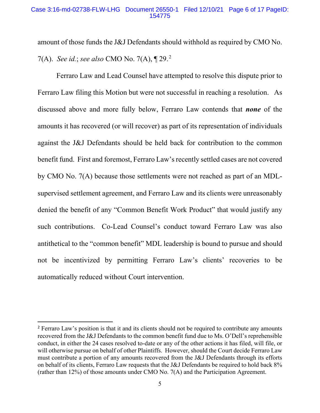amount of those funds the J&J Defendants should withhold as required by CMO No.

7(A). *See id.*; *see also* CMO No. 7(A),  $\P$  29.<sup>2</sup>

Ferraro Law and Lead Counsel have attempted to resolve this dispute prior to Ferraro Law filing this Motion but were not successful in reaching a resolution. As discussed above and more fully below, Ferraro Law contends that *none* of the amounts it has recovered (or will recover) as part of its representation of individuals against the J&J Defendants should be held back for contribution to the common benefit fund. First and foremost, Ferraro Law's recently settled cases are not covered by CMO No. 7(A) because those settlements were not reached as part of an MDLsupervised settlement agreement, and Ferraro Law and its clients were unreasonably denied the benefit of any "Common Benefit Work Product" that would justify any such contributions. Co-Lead Counsel's conduct toward Ferraro Law was also antithetical to the "common benefit" MDL leadership is bound to pursue and should not be incentivized by permitting Ferraro Law's clients' recoveries to be automatically reduced without Court intervention.

<sup>&</sup>lt;sup>2</sup> Ferraro Law's position is that it and its clients should not be required to contribute any amounts recovered from the J&J Defendants to the common benefit fund due to Ms. O'Dell's reprehensible conduct, in either the 24 cases resolved to-date or any of the other actions it has filed, will file, or will otherwise pursue on behalf of other Plaintiffs. However, should the Court decide Ferraro Law must contribute a portion of any amounts recovered from the J&J Defendants through its efforts on behalf of its clients, Ferraro Law requests that the J&J Defendants be required to hold back 8% (rather than 12%) of those amounts under CMO No. 7(A) and the Participation Agreement.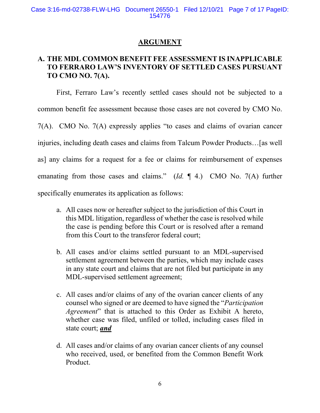## **ARGUMENT**

## **A. THE MDL COMMON BENEFIT FEE ASSESSMENT IS INAPPLICABLE TO FERRARO LAW'S INVENTORY OF SETTLED CASES PURSUANT TO CMO NO. 7(A).**

First, Ferraro Law's recently settled cases should not be subjected to a common benefit fee assessment because those cases are not covered by CMO No. 7(A). CMO No. 7(A) expressly applies "to cases and claims of ovarian cancer injuries, including death cases and claims from Talcum Powder Products…[as well as] any claims for a request for a fee or claims for reimbursement of expenses emanating from those cases and claims." (*Id.* ¶ 4.) CMO No. 7(A) further specifically enumerates its application as follows:

- a. All cases now or hereafter subject to the jurisdiction of this Court in this MDL litigation, regardless of whether the case is resolved while the case is pending before this Court or is resolved after a remand from this Court to the transferor federal court;
- b. All cases and/or claims settled pursuant to an MDL-supervised settlement agreement between the parties, which may include cases in any state court and claims that are not filed but participate in any MDL-supervised settlement agreement;
- c. All cases and/or claims of any of the ovarian cancer clients of any counsel who signed or are deemed to have signed the "*Participation Agreement*" that is attached to this Order as Exhibit A hereto, whether case was filed, unfiled or tolled, including cases filed in state court; *and*
- d. All cases and/or claims of any ovarian cancer clients of any counsel who received, used, or benefited from the Common Benefit Work Product.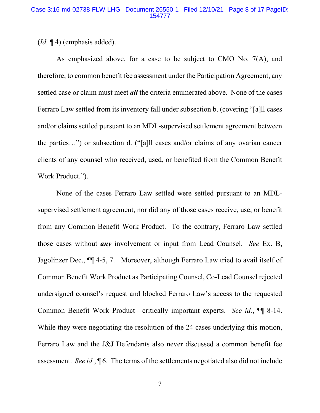(*Id.* ¶ 4) (emphasis added).

As emphasized above, for a case to be subject to CMO No. 7(A), and therefore, to common benefit fee assessment under the Participation Agreement, any settled case or claim must meet *all* the criteria enumerated above. None of the cases Ferraro Law settled from its inventory fall under subsection b. (covering "[a]ll cases and/or claims settled pursuant to an MDL-supervised settlement agreement between the parties…") or subsection d. ("[a]ll cases and/or claims of any ovarian cancer clients of any counsel who received, used, or benefited from the Common Benefit Work Product.").

None of the cases Ferraro Law settled were settled pursuant to an MDLsupervised settlement agreement, nor did any of those cases receive, use, or benefit from any Common Benefit Work Product. To the contrary, Ferraro Law settled those cases without *any* involvement or input from Lead Counsel. *See* Ex. B, Jagolinzer Dec., ¶¶ 4-5, 7. Moreover, although Ferraro Law tried to avail itself of Common Benefit Work Product as Participating Counsel, Co-Lead Counsel rejected undersigned counsel's request and blocked Ferraro Law's access to the requested Common Benefit Work Product—critically important experts. *See id.*, ¶¶ 8-14. While they were negotiating the resolution of the 24 cases underlying this motion, Ferraro Law and the J&J Defendants also never discussed a common benefit fee assessment. *See id.*, ¶ 6. The terms of the settlements negotiated also did not include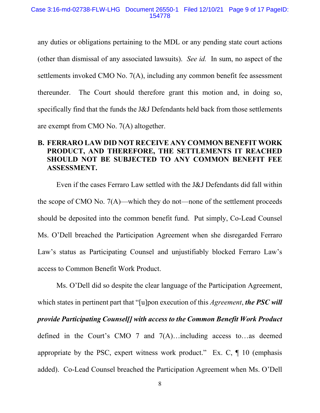any duties or obligations pertaining to the MDL or any pending state court actions (other than dismissal of any associated lawsuits). *See id.* In sum, no aspect of the settlements invoked CMO No. 7(A), including any common benefit fee assessment thereunder. The Court should therefore grant this motion and, in doing so, specifically find that the funds the J&J Defendants held back from those settlements are exempt from CMO No. 7(A) altogether.

## **B. FERRARO LAW DID NOT RECEIVE ANY COMMON BENEFIT WORK PRODUCT, AND THEREFORE, THE SETTLEMENTS IT REACHED SHOULD NOT BE SUBJECTED TO ANY COMMON BENEFIT FEE ASSESSMENT.**

Even if the cases Ferraro Law settled with the J&J Defendants did fall within the scope of CMO No. 7(A)—which they do not—none of the settlement proceeds should be deposited into the common benefit fund. Put simply, Co-Lead Counsel Ms. O'Dell breached the Participation Agreement when she disregarded Ferraro Law's status as Participating Counsel and unjustifiably blocked Ferraro Law's access to Common Benefit Work Product.

Ms. O'Dell did so despite the clear language of the Participation Agreement, which states in pertinent part that "[u]pon execution of this *Agreement*, *the PSC will provide Participating Counsel[] with access to the Common Benefit Work Product* defined in the Court's CMO 7 and 7(A)…including access to…as deemed appropriate by the PSC, expert witness work product." Ex. C,  $\P$  10 (emphasis added). Co-Lead Counsel breached the Participation Agreement when Ms. O'Dell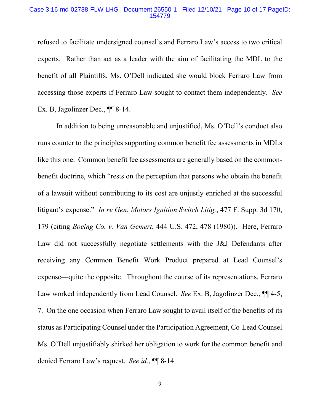#### Case 3:16-md-02738-FLW-LHG Document 26550-1 Filed 12/10/21 Page 10 of 17 PageID: 154779

refused to facilitate undersigned counsel's and Ferraro Law's access to two critical experts. Rather than act as a leader with the aim of facilitating the MDL to the benefit of all Plaintiffs, Ms. O'Dell indicated she would block Ferraro Law from accessing those experts if Ferraro Law sought to contact them independently. *See*  Ex. B, Jagolinzer Dec., ¶¶ 8-14.

In addition to being unreasonable and unjustified, Ms. O'Dell's conduct also runs counter to the principles supporting common benefit fee assessments in MDLs like this one. Common benefit fee assessments are generally based on the commonbenefit doctrine, which "rests on the perception that persons who obtain the benefit of a lawsuit without contributing to its cost are unjustly enriched at the successful litigant's expense." *In re Gen. Motors Ignition Switch Litig.*, 477 F. Supp. 3d 170, 179 (citing *Boeing Co. v. Van Gemert*, 444 U.S. 472, 478 (1980)). Here, Ferraro Law did not successfully negotiate settlements with the J&J Defendants after receiving any Common Benefit Work Product prepared at Lead Counsel's expense—quite the opposite. Throughout the course of its representations, Ferraro Law worked independently from Lead Counsel. *See* Ex. B, Jagolinzer Dec., ¶¶ 4-5, 7. On the one occasion when Ferraro Law sought to avail itself of the benefits of its status as Participating Counsel under the Participation Agreement, Co-Lead Counsel Ms. O'Dell unjustifiably shirked her obligation to work for the common benefit and denied Ferraro Law's request. *See id.*, ¶¶ 8-14.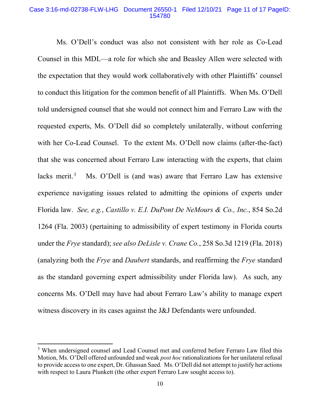## Case 3:16-md-02738-FLW-LHG Document 26550-1 Filed 12/10/21 Page 11 of 17 PageID: 154780

Ms. O'Dell's conduct was also not consistent with her role as Co-Lead Counsel in this MDL—a role for which she and Beasley Allen were selected with the expectation that they would work collaboratively with other Plaintiffs' counsel to conduct this litigation for the common benefit of all Plaintiffs. When Ms. O'Dell told undersigned counsel that she would not connect him and Ferraro Law with the requested experts, Ms. O'Dell did so completely unilaterally, without conferring with her Co-Lead Counsel. To the extent Ms. O'Dell now claims (after-the-fact) that she was concerned about Ferraro Law interacting with the experts, that claim lacks merit. $3$ Ms. O'Dell is (and was) aware that Ferraro Law has extensive experience navigating issues related to admitting the opinions of experts under Florida law. *See, e.g.*, *Castillo v. E.I. DuPont De NeMours & Co., Inc.*, 854 So.2d 1264 (Fla. 2003) (pertaining to admissibility of expert testimony in Florida courts under the *Frye* standard); *see also DeLisle v. Crane Co.*, 258 So.3d 1219 (Fla. 2018) (analyzing both the *Frye* and *Daubert* standards, and reaffirming the *Frye* standard as the standard governing expert admissibility under Florida law). As such, any concerns Ms. O'Dell may have had about Ferraro Law's ability to manage expert witness discovery in its cases against the J&J Defendants were unfounded.

<sup>&</sup>lt;sup>3</sup> When undersigned counsel and Lead Counsel met and conferred before Ferraro Law filed this Motion, Ms. O'Dell offered unfounded and weak *post hoc* rationalizations for her unilateral refusal to provide access to one expert, Dr. Ghassan Saed. Ms. O'Dell did not attempt to justify her actions with respect to Laura Plunkett (the other expert Ferraro Law sought access to).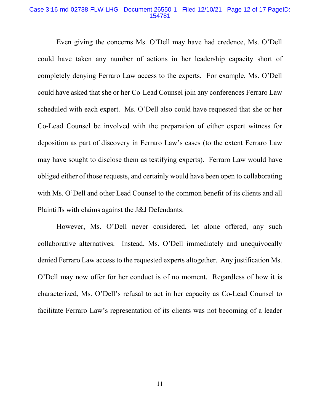#### Case 3:16-md-02738-FLW-LHG Document 26550-1 Filed 12/10/21 Page 12 of 17 PageID: 154781

Even giving the concerns Ms. O'Dell may have had credence, Ms. O'Dell could have taken any number of actions in her leadership capacity short of completely denying Ferraro Law access to the experts. For example, Ms. O'Dell could have asked that she or her Co-Lead Counsel join any conferences Ferraro Law scheduled with each expert. Ms. O'Dell also could have requested that she or her Co-Lead Counsel be involved with the preparation of either expert witness for deposition as part of discovery in Ferraro Law's cases (to the extent Ferraro Law may have sought to disclose them as testifying experts). Ferraro Law would have obliged either of those requests, and certainly would have been open to collaborating with Ms. O'Dell and other Lead Counsel to the common benefit of its clients and all Plaintiffs with claims against the J&J Defendants.

However, Ms. O'Dell never considered, let alone offered, any such collaborative alternatives. Instead, Ms. O'Dell immediately and unequivocally denied Ferraro Law access to the requested experts altogether. Any justification Ms. O'Dell may now offer for her conduct is of no moment. Regardless of how it is characterized, Ms. O'Dell's refusal to act in her capacity as Co-Lead Counsel to facilitate Ferraro Law's representation of its clients was not becoming of a leader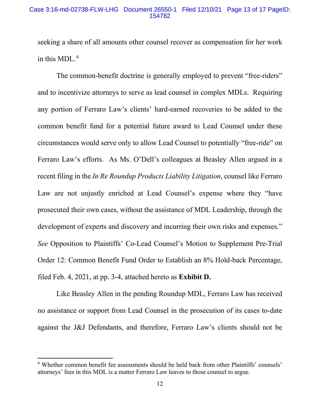## Case 3:16-md-02738-FLW-LHG Document 26550-1 Filed 12/10/21 Page 13 of 17 PageID: 154782

seeking a share of all amounts other counsel recover as compensation for her work in this MDL. $^{4}$ 

The common-benefit doctrine is generally employed to prevent "free-riders" and to incentivize attorneys to serve as lead counsel in complex MDLs. Requiring any portion of Ferraro Law's clients' hard-earned recoveries to be added to the common benefit fund for a potential future award to Lead Counsel under these circumstances would serve only to allow Lead Counsel to potentially "free-ride" on Ferraro Law's efforts. As Ms. O'Dell's colleagues at Beasley Allen argued in a recent filing in the *In Re Roundup Products Liability Litigation*, counsel like Ferraro Law are not unjustly enriched at Lead Counsel's expense where they "have prosecuted their own cases, without the assistance of MDL Leadership, through the development of experts and discovery and incurring their own risks and expenses." *See* Opposition to Plaintiffs' Co-Lead Counsel's Motion to Supplement Pre-Trial Order 12: Common Benefit Fund Order to Establish an 8% Hold-back Percentage, filed Feb. 4, 2021, at pp. 3-4, attached hereto as **Exhibit D.**

Like Beasley Allen in the pending Roundup MDL, Ferraro Law has received no assistance or support from Lead Counsel in the prosecution of its cases to-date against the J&J Defendants, and therefore, Ferraro Law's clients should not be

<sup>4</sup> Whether common benefit fee assessments should be held back from other Plaintiffs' counsels' attorneys' fees in this MDL is a matter Ferraro Law leaves to those counsel to argue.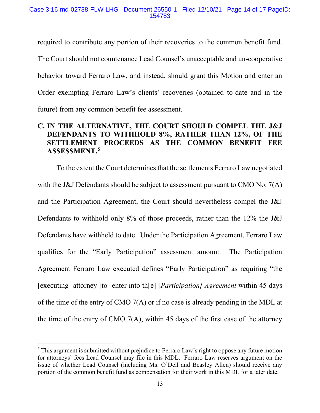required to contribute any portion of their recoveries to the common benefit fund. The Court should not countenance Lead Counsel's unacceptable and un-cooperative behavior toward Ferraro Law, and instead, should grant this Motion and enter an Order exempting Ferraro Law's clients' recoveries (obtained to-date and in the future) from any common benefit fee assessment.

## **C. IN THE ALTERNATIVE, THE COURT SHOULD COMPEL THE J&J DEFENDANTS TO WITHHOLD 8%, RATHER THAN 12%, OF THE SETTLEMENT PROCEEDS AS THE COMMON BENEFIT FEE**  ASSESSMENT.<sup>5</sup>

To the extent the Court determines that the settlements Ferraro Law negotiated with the J&J Defendants should be subject to assessment pursuant to CMO No. 7(A) and the Participation Agreement, the Court should nevertheless compel the J&J Defendants to withhold only 8% of those proceeds, rather than the 12% the J&J Defendants have withheld to date. Under the Participation Agreement, Ferraro Law qualifies for the "Early Participation" assessment amount. The Participation Agreement Ferraro Law executed defines "Early Participation" as requiring "the [executing] attorney [to] enter into th[e] [*Participation] Agreement* within 45 days of the time of the entry of CMO 7(A) or if no case is already pending in the MDL at the time of the entry of CMO 7(A), within 45 days of the first case of the attorney

 $<sup>5</sup>$  This argument is submitted without prejudice to Ferraro Law's right to oppose any future motion</sup> for attorneys' fees Lead Counsel may file in this MDL. Ferraro Law reserves argument on the issue of whether Lead Counsel (including Ms. O'Dell and Beasley Allen) should receive any portion of the common benefit fund as compensation for their work in this MDL for a later date.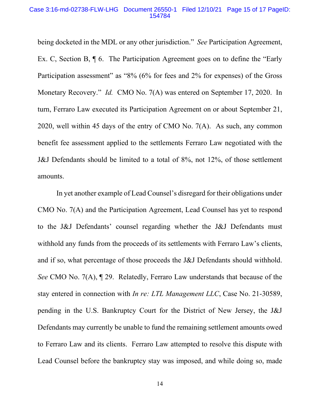#### Case 3:16-md-02738-FLW-LHG Document 26550-1 Filed 12/10/21 Page 15 of 17 PageID: 154784

being docketed in the MDL or any other jurisdiction." *See* Participation Agreement, Ex. C, Section B, ¶ 6. The Participation Agreement goes on to define the "Early Participation assessment" as "8% (6% for fees and 2% for expenses) of the Gross Monetary Recovery." *Id.* CMO No. 7(A) was entered on September 17, 2020. In turn, Ferraro Law executed its Participation Agreement on or about September 21, 2020, well within 45 days of the entry of CMO No. 7(A). As such, any common benefit fee assessment applied to the settlements Ferraro Law negotiated with the J&J Defendants should be limited to a total of 8%, not 12%, of those settlement amounts.

In yet another example of Lead Counsel's disregard for their obligations under CMO No. 7(A) and the Participation Agreement, Lead Counsel has yet to respond to the J&J Defendants' counsel regarding whether the J&J Defendants must withhold any funds from the proceeds of its settlements with Ferraro Law's clients, and if so, what percentage of those proceeds the J&J Defendants should withhold. *See* CMO No. 7(A), ¶ 29. Relatedly, Ferraro Law understands that because of the stay entered in connection with *In re: LTL Management LLC*, Case No. 21-30589, pending in the U.S. Bankruptcy Court for the District of New Jersey, the J&J Defendants may currently be unable to fund the remaining settlement amounts owed to Ferraro Law and its clients. Ferraro Law attempted to resolve this dispute with Lead Counsel before the bankruptcy stay was imposed, and while doing so, made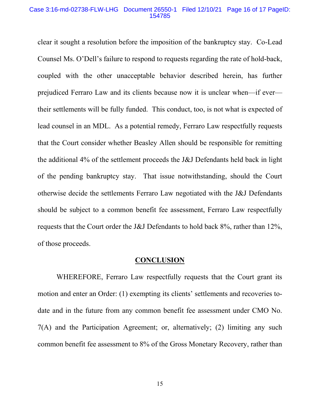### Case 3:16-md-02738-FLW-LHG Document 26550-1 Filed 12/10/21 Page 16 of 17 PageID: 154785

clear it sought a resolution before the imposition of the bankruptcy stay. Co-Lead Counsel Ms. O'Dell's failure to respond to requests regarding the rate of hold-back, coupled with the other unacceptable behavior described herein, has further prejudiced Ferraro Law and its clients because now it is unclear when—if ever their settlements will be fully funded. This conduct, too, is not what is expected of lead counsel in an MDL. As a potential remedy, Ferraro Law respectfully requests that the Court consider whether Beasley Allen should be responsible for remitting the additional 4% of the settlement proceeds the J&J Defendants held back in light of the pending bankruptcy stay. That issue notwithstanding, should the Court otherwise decide the settlements Ferraro Law negotiated with the J&J Defendants should be subject to a common benefit fee assessment, Ferraro Law respectfully requests that the Court order the J&J Defendants to hold back 8%, rather than 12%, of those proceeds.

## **CONCLUSION**

WHEREFORE, Ferraro Law respectfully requests that the Court grant its motion and enter an Order: (1) exempting its clients' settlements and recoveries todate and in the future from any common benefit fee assessment under CMO No. 7(A) and the Participation Agreement; or, alternatively; (2) limiting any such common benefit fee assessment to 8% of the Gross Monetary Recovery, rather than